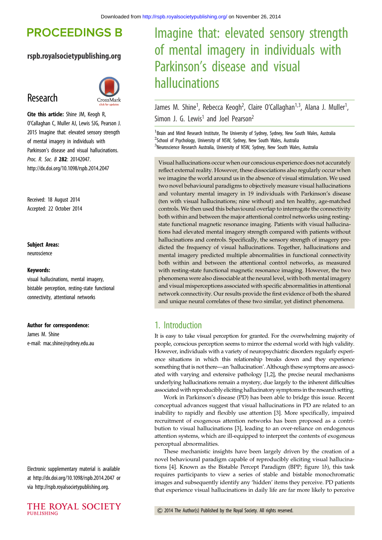# **PROCEEDINGS B**

## rspb.royalsocietypublishing.org

# Research



Cite this article: Shine JM, Keogh R, O'Callaghan C, Muller AJ, Lewis SJG, Pearson J. 2015 Imagine that: elevated sensory strength of mental imagery in individuals with Parkinson's disease and visual hallucinations. Proc. R. Soc. B 282: 20142047. http://dx.doi.org/10.1098/rspb.2014.2047

Received: 18 August 2014 Accepted: 22 October 2014

#### Subject Areas:

neuroscience

#### Keywords:

visual hallucinations, mental imagery, bistable perception, resting-state functional connectivity, attentional networks

#### Author for correspondence:

James M. Shine e-mail: [mac.shine@sydney.edu.au](mailto:mac.shine@sydney.edu.au)

Electronic supplementary material is available at<http://dx.doi.org/10.1098/rspb.2014.2047> or via<http://rspb.royalsocietypublishing.org>.



# Imagine that: elevated sensory strength of mental imagery in individuals with Parkinson's disease and visual hallucinations

James M. Shine<sup>1</sup>, Rebecca Keogh<sup>2</sup>, Claire O'Callaghan<sup>1,3</sup>, Alana J. Muller<sup>1</sup> , Simon J. G. Lewis<sup>1</sup> and Joel Pearson<sup>2</sup>

<sup>1</sup> Brain and Mind Research Institute, The University of Sydney, Sydney, New South Wales, Australia <sup>2</sup>School of Psychology, University of NSW, Sydney, New South Wales, Australia <sup>3</sup>Neuroscience Research Australia, University of NSW, Sydney, New South Wales, Australia

Visual hallucinations occur when our conscious experience does not accurately reflect external reality. However, these dissociations also regularly occur when we imagine the world around us in the absence of visual stimulation. We used two novel behavioural paradigms to objectively measure visual hallucinations and voluntary mental imagery in 19 individuals with Parkinson's disease (ten with visual hallucinations; nine without) and ten healthy, age-matched controls. We then used this behavioural overlap to interrogate the connectivity both within and between the major attentional control networks using restingstate functional magnetic resonance imaging. Patients with visual hallucinations had elevated mental imagery strength compared with patients without hallucinations and controls. Specifically, the sensory strength of imagery predicted the frequency of visual hallucinations. Together, hallucinations and mental imagery predicted multiple abnormalities in functional connectivity both within and between the attentional control networks, as measured with resting-state functional magnetic resonance imaging. However, the two phenomena were also dissociable at the neural level, with both mental imagery and visual misperceptions associated with specific abnormalities in attentional network connectivity. Our results provide the first evidence of both the shared and unique neural correlates of these two similar, yet distinct phenomena.

## 1. Introduction

It is easy to take visual perception for granted. For the overwhelming majority of people, conscious perception seems to mirror the external world with high validity. However, individuals with a variety of neuropsychiatric disorders regularly experience situations in which this relationship breaks down and they experience something that is not there—an 'hallucination'. Although these symptoms are associated with varying and extensive pathology [[1,2](#page-5-0)], the precise neural mechanisms underlying hallucinations remain a mystery, due largely to the inherent difficulties associated with reproducibly eliciting hallucinatory symptoms in the research setting.

Work in Parkinson's disease (PD) has been able to bridge this issue. Recent conceptual advances suggest that visual hallucinations in PD are related to an inability to rapidly and flexibly use attention [\[3\]](#page-5-0). More specifically, impaired recruitment of exogenous attention networks has been proposed as a contribution to visual hallucinations [[3](#page-5-0)], leading to an over-reliance on endogenous attention systems, which are ill-equipped to interpret the contents of exogenous perceptual abnormalities.

These mechanistic insights have been largely driven by the creation of a novel behavioural paradigm capable of reproducibly eliciting visual hallucinations [[4](#page-5-0)]. Known as the Bistable Percept Paradigm (BPP; [figure 1](#page-1-0)b), this task requires participants to view a series of stable and bistable monochromatic images and subsequently identify any 'hidden' items they perceive. PD patients that experience visual hallucinations in daily life are far more likely to perceive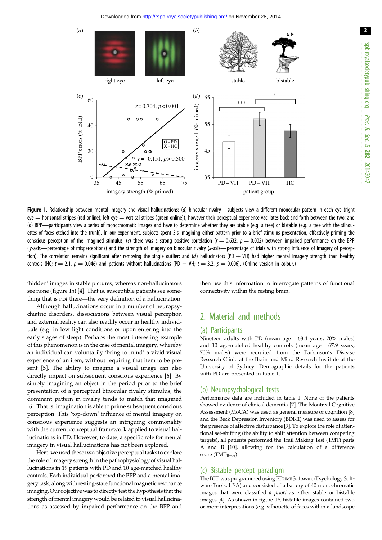<span id="page-1-0"></span>

Figure 1. Relationship between mental imagery and visual hallucinations: (a) binocular rivalry—subjects view a different monocular pattern in each eye (right  $e$ ye  $=$  horizontal stripes (red online); left eye  $=$  vertical stripes (green online)), however their perceptual experience vacillates back and forth between the two; and (b) BPP—participants view a series of monochromatic images and have to determine whether they are stable (e.g. a tree) or bistable (e.g. a tree with the silhouettes of faces etched into the trunk). In our experiment, subjects spent 5 s imagining either pattern prior to a brief stimulus presentation, effectively priming the conscious perception of the imagined stimulus; (c) there was a strong positive correlation ( $r = 0.632$ ,  $p = 0.002$ ) between impaired performance on the BPP (y-axis—percentage of misperceptions) and the strength of imagery on binocular rivalry (x-axis—percentage of trials with strong influence of imagery of perception). The correlation remains significant after removing the single outlier; and (d) hallucinators (PD + VH) had higher mental imagery strength than healthy controls (HC;  $t = 2.1$ ,  $p = 0.046$ ) and patients without hallucinations (PD - VH;  $t = 3.2$ ,  $p = 0.006$ ). (Online version in colour.)

'hidden' images in stable pictures, whereas non-hallucinators see none (figure 1a) [[4](#page-5-0)]. That is, susceptible patients see something that is not there—the very definition of a hallucination.

Although hallucinations occur in a number of neuropsychiatric disorders, dissociations between visual perception and external reality can also readily occur in healthy individuals (e.g. in low light conditions or upon entering into the early stages of sleep). Perhaps the most interesting example of this phenomenon is in the case of mental imagery, whereby an individual can voluntarily 'bring to mind' a vivid visual experience of an item, without requiring that item to be present [\[5\]](#page-6-0). The ability to imagine a visual image can also directly impact on subsequent conscious experience [[6](#page-6-0)]. By simply imagining an object in the period prior to the brief presentation of a perceptual binocular rivalry stimulus, the dominant pattern in rivalry tends to match that imagined [\[6\]](#page-6-0). That is, imagination is able to prime subsequent conscious perception. This 'top-down' influence of mental imagery on conscious experience suggests an intriguing commonality with the current conceptual framework applied to visual hallucinations in PD. However, to date, a specific role for mental imagery in visual hallucinations has not been explored.

Here, we used these two objective perceptual tasks to explore the role of imagery strength in the pathophysiology of visual hallucinations in 19 patients with PD and 10 age-matched healthy controls. Each individual performed the BPP and a mental imagery task, alongwith resting-state functional magnetic resonance imaging. Our objective was to directly test the hypothesis that the strength of mental imagery would be related to visual hallucinations as assessed by impaired performance on the BPP and then use this information to interrogate patterns of functional connectivity within the resting brain.

# 2. Material and methods

#### (a) Participants

Nineteen adults with PD (mean  $age = 68.4$  years; 70% males) and 10 age-matched healthy controls (mean age  $= 67.9$  years; 70% males) were recruited from the Parkinson's Disease Research Clinic at the Brain and Mind Research Institute at the University of Sydney. Demographic details for the patients with PD are presented in [table 1.](#page-2-0)

#### (b) Neuropsychological tests

Performance data are included in [table 1](#page-2-0). None of the patients showed evidence of clinical dementia [\[7](#page-6-0)]. The Montreal Cognitive Assessment (MoCA) was used as general measure of cognition [[8](#page-6-0)] and the Beck Depression Inventory (BDI-II) was used to assess for the presence of affective disturbance [\[9](#page-6-0)]. To explore the role of attentional set-shifting (the ability to shift attention between competing targets), all patients performed the Trail Making Test (TMT) parts A and B [[10](#page-6-0)], allowing for the calculation of a difference score (TMT $_{B-A}$ ).

#### (c) Bistable percept paradigm

The BPP was programmed using EPRIME Software (Psychology Software Tools, USA) and consisted of a battery of 40 monochromatic images that were classified a priori as either stable or bistable images [\[4](#page-5-0)]. As shown in figure 1b, bistable images contained two or more interpretations (e.g. silhouette of faces within a landscape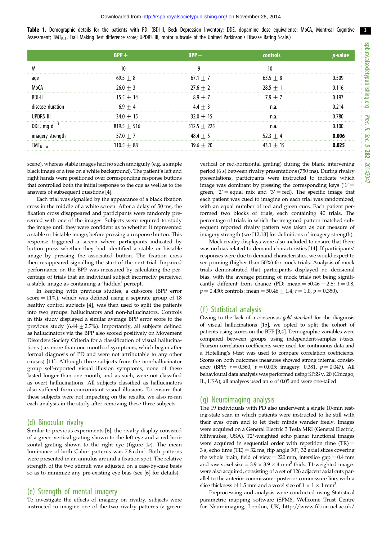<span id="page-2-0"></span>Table 1. Demographic details for the patients with PD. (BDI-II, Beck Depression Inventory; DDE, dopamine dose equivalence; MoCA, Montreal Cognitive Assessment; TMT<sub>B-A</sub>, Trail Making Test difference score; UPDRS III, motor subscale of the Unified Parkinson's Disease Rating Scale.)

| aqe              | $69.5 + 8$      | $67.1 + 7$    | $63.5 + 8$  |  |
|------------------|-----------------|---------------|-------------|--|
|                  | $26.0 + 3$      | $27.6 + 2$    | $28.5 + 1$  |  |
| BDI-I            | $15.5 + 14$     | $8.9 + 7$     | $7.9 + 7$   |  |
| disease duration | $6.9 + 4$       | $4.4 + 3$     | n.a.        |  |
| IIPDRS III       | $34.0 + 15$     | $32.0 + 15$   | n.a         |  |
| DDE, mg $d^-$    | $819.5 + 516$   | $512.5 + 225$ | n.a.        |  |
|                  | $57.0 + 7$<br>. | $48.4 + 5$    | $52.3 + 4$  |  |
|                  | $110.5 + 88$    | $39.6 + 20$   | $43.1 + 15$ |  |

scene), whereas stable images had no such ambiguity (e.g. a simple black image of a tree on a white background). The patient's left and right hands were positioned over corresponding response buttons that controlled both the initial response to the cue as well as to the answers of subsequent questions [[4\]](#page-5-0).

Each trial was signalled by the appearance of a black fixation cross in the middle of a white screen. After a delay of 50 ms, the fixation cross disappeared and participants were randomly presented with one of the images. Subjects were required to study the image until they were confident as to whether it represented a stable or bistable image, before pressing a response button. This response triggered a screen where participants indicated by button press whether they had identified a stable or bistable image by pressing the associated button. The fixation cross then re-appeared signalling the start of the next trial. Impaired performance on the BPP was measured by calculating the percentage of trials that an individual subject incorrectly perceived a stable image as containing a 'hidden' percept.

In keeping with previous studies, a cut-score (BPP error  $score = 11\%)$ , which was defined using a separate group of 18 healthy control subjects [\[4](#page-5-0)], was then used to split the patients into two groups: hallucinators and non-hallucinators. Controls in this study displayed a similar average BPP error score to the previous study (6.44  $\pm$  2.7%). Importantly, all subjects defined as hallucinators via the BPP also scored positively on Movement Disorders Society Criteria for a classification of visual hallucinations (i.e. more than one month of symptoms, which began after formal diagnosis of PD and were not attributable to any other causes) [\[11\]](#page-6-0). Although three subjects from the non-hallucinator group self-reported visual illusion symptoms, none of these lasted longer than one month, and as such, were not classified as overt hallucinations. All subjects classified as hallucinators also suffered from concomitant visual illusions. To ensure that these subjects were not impacting on the results, we also re-ran each analysis in the study after removing these three subjects.

#### (d) Binocular rivalry

Similar to previous experiments [[6\]](#page-6-0), the rivalry display consisted of a green vertical grating shown to the left eye and a red horizontal grating shown to the right eye (figure  $1a$ ). The mean luminance of both Gabor patterns was 7.8 cdm<sup>2</sup>. Both patterns were presented in an annulus around a fixation spot. The relative strength of the two stimuli was adjusted on a case-by-case basis so as to minimize any pre-existing eye bias (see [[6\]](#page-6-0) for details).

#### (e) Strength of mental imagery

To investigate the effects of imagery on rivalry, subjects were instructed to imagine one of the two rivalry patterns (a greenvertical or red-horizontal grating) during the blank intervening period (6 s) between rivalry presentations (750 ms). During rivalry presentations, participants were instructed to indicate which image was dominant by pressing the corresponding keys  $(1')$  = green, '2' = equal mix and '3' = red). The specific image that each patient was cued to imagine on each trial was randomized, with an equal number of red and green cues. Each patient performed two blocks of trials, each containing 40 trials. The percentage of trials in which the imagined pattern matched subsequent reported rivalry pattern was taken as our measure of imagery strength (see [\[12,13\]](#page-6-0) for definitions of imagery strength).

Mock rivalry displays were also included to ensure that there was no bias related to demand characteristics [\[14\]](#page-6-0). If participants' responses were due to demand characteristics, we would expect to see priming (higher than 50%) for mock trials. Analysis of mock trials demonstrated that participants displayed no decisional bias, with the average priming of mock trials not being significantly different from chance (PD: mean =  $50.46 \pm 2.5$ ;  $t = 0.8$ ,  $p = 0.430$ ; controls: mean = 50.46  $\pm$  1.4;  $t = 1.0$ ,  $p = 0.350$ ).

#### (f) Statistical analysis

Owing to the lack of a consensus gold standard for the diagnosis of visual hallucinations [\[15\]](#page-6-0), we opted to split the cohort of patients using scores on the BPP [[3,4\]](#page-5-0). Demographic variables were compared between groups using independent-samples t-tests. Pearson correlation coefficients were used for continuous data and a Hotelling's t-test was used to compare correlation coefficients. Scores on both outcomes measures showed strong internal consistency (BPP:  $r = 0.560$ ,  $p = 0.005$ ; imagery: 0.381,  $p = 0.047$ ). All behavioural data analysis was performed using SPSS v. 20 (Chicago, IL, USA), all analyses used an  $\alpha$  of 0.05 and were one-tailed.

#### (g) Neuroimaging analysis

The 19 individuals with PD also underwent a single 10-min resting-state scan in which patients were instructed to lie still with their eyes open and to let their minds wander freely. Images were acquired on a General Electric 3 Tesla MRI (General Electric, Milwaukee, USA). T2\*-weighted echo planar functional images were acquired in sequential order with repetition time  $(TR)$  = 3 s, echo time (TE) = 32 ms, flip angle  $90^{\circ}$ , 32 axial slices covering the whole brain, field of view  $= 220$  mm, interslice gap  $= 0.4$  mm and raw voxel size =  $3.9 \times 3.9 \times 4$  mm<sup>3</sup> thick. T1-weighted images were also acquired, consisting of a set of 126 adjacent axial cuts parallel to the anterior commissure–posterior commissure line, with a slice thickness of 1.5 mm and a voxel size of  $1 \times 1 \times 1$  mm<sup>3</sup>.

Preprocessing and analysis were conducted using Statistical parametric mapping software (SPM8, Wellcome Trust Centre for Neuroimaging, London, UK, [http://www.fil.ion.ucl.ac.uk/](http://www.fil.ion.ucl.ac.uk/spm/software/)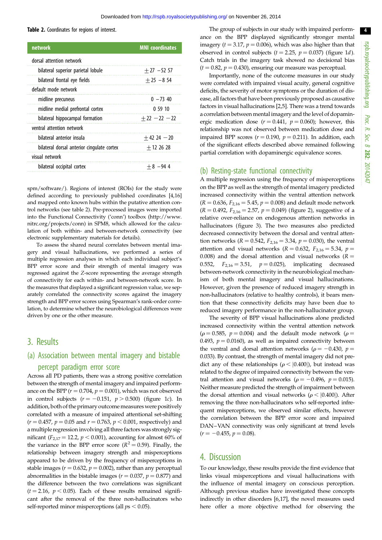#### Table 2. Coordinates for regions of interest.

| <b>network</b>                             | <b>MNI</b> coordinates |  |
|--------------------------------------------|------------------------|--|
| dorsal attention network                   |                        |  |
| bilateral superior parietal lobule         | $+27 - 5257$           |  |
| bilateral frontal eye fields               | $+25 - 854$            |  |
| default mode network                       |                        |  |
| midline precuneus                          | $0 - 73$ 40            |  |
| midline medial prefrontal cortex           | 05910                  |  |
| bilateral hippocampal formation            | $+22 - 22 - 22$        |  |
| ventral attention network                  |                        |  |
| bilateral anterior insula                  | $+42$ 24 $-20$         |  |
| bilateral dorsal anterior cingulate cortex | $+122628$              |  |
| visual network                             |                        |  |
| bilateral occipital cortex                 | $+8 - 944$             |  |

[spm/software/\)](http://www.fil.ion.ucl.ac.uk/spm/software/). Regions of interest (ROIs) for the study were defined according to previously published coordinates [[4](#page-5-0)[,16\]](#page-6-0) and mapped onto known hubs within the putative attention control networks (see table 2). Pre-processed images were imported into the Functional Connectivity ('conn') toolbox [\(http://www.](http://www.nitrc.org/projects/conn) [nitrc.org/projects/conn\)](http://www.nitrc.org/projects/conn) in SPM8, which allowed for the calculation of both within- and between-network connectivity (see electronic supplementary materials for details).

To assess the shared neural correlates between mental imagery and visual hallucinations, we performed a series of multiple regression analyses in which each individual subject's BPP error score and their strength of mental imagery was regressed against the Z-score representing the average strength of connectivity for each within- and between-network score. In the measures that displayed a significant regression value, we separately correlated the connectivity scores against the imagery strength and BPP error scores using Spearman's rank-order correlation, to determine whether the neurobiological differences were driven by one or the other measure.

## 3. Results

## (a) Association between mental imagery and bistable percept paradigm error score

Across all PD patients, there was a strong positive correlation between the strength of mental imagery and impaired performance on the BPP ( $r = 0.704$ ,  $p = 0.001$ ), which was not observed in control subjects  $(r = -0.151, p > 0.500)$  [\(figure 1](#page-1-0)c). In addition, both of the primary outcome measures were positively correlated with a measure of impaired attentional set-shifting  $(r = 0.457, p = 0.05 \text{ and } r = 0.763, p < 0.001$ , respectively) and a multiple regression involving all three factors was strongly significant ( $F_{2,17} = 12.2$ ,  $p < 0.001$ ), accounting for almost 60% of the variance in the BPP error score ( $R^2 = 0.59$ ). Finally, the relationship between imagery strength and misperceptions appeared to be driven by the frequency of misperceptions in stable images ( $r = 0.632$ ,  $p = 0.002$ ), rather than any perceptual abnormalities in the bistable images ( $r = 0.037$ ,  $p = 0.877$ ) and the difference between the two correlations was significant  $(t = 2.16, p < 0.05)$ . Each of these results remained significant after the removal of the three non-hallucinators who self-reported minor misperceptions (all  $ps < 0.05$ ).

The group of subjects in our study with impaired performance on the BPP displayed significantly stronger mental imagery ( $t = 3.17$ ,  $p = 0.006$ ), which was also higher than that observed in control subjects ( $t = 2.25$ ,  $p = 0.037$ ) ([figure 1](#page-1-0)d). Catch trials in the imagery task showed no decisional bias  $(t = 0.82, p = 0.430)$ , ensuring our measure was perceptual.

Importantly, none of the outcome measures in our study were correlated with impaired visual acuity, general cognitive deficits, the severity of motor symptoms or the duration of disease, all factors that have been previously proposed as causative factors in visual hallucinations [\[2](#page-5-0),[5](#page-6-0)]. There was a trend towards a correlation between mental imagery and the level of dopaminergic medication dose ( $r = 0.441$ ,  $p = 0.060$ ); however, this relationship was not observed between medication dose and impaired BPP scores ( $r = 0.190$ ,  $p = 0.211$ ). In addition, each of the significant effects described above remained following partial correlation with dopaminergic equivalence scores.

#### (b) Resting-state functional connectivity

A multiple regression using the frequency of misperceptions on the BPP as well as the strength of mental imagery predicted increased connectivity within the ventral attention network  $(R = 0.636, F_{2,16} = 5.45, p = 0.008)$  and default mode network  $(R = 0.492, F_{2,16} = 2.57, p = 0.049)$  ([figure 2](#page-4-0)), suggestive of a relative over-reliance on endogenous attention networks in hallucinators [\(figure 3\)](#page-4-0). The two measures also predicted decreased connectivity between the dorsal and ventral attention networks ( $R = 0.542$ ,  $F_{2,16} = 3.34$ ,  $p = 0.030$ ), the ventral attention and visual networks ( $R = 0.632$ ,  $F_{2,16} = 5.34$ ,  $p =$ 0.008) and the dorsal attention and visual networks ( $R =$ 0.552,  $F_{2,16} = 3.51$ ,  $p = 0.025$ ), implicating decreased between-network connectivity in the neurobiological mechanism of both mental imagery and visual hallucinations. However, given the presence of reduced imagery strength in non-hallucinators (relative to healthy controls), it bears mention that these connectivity deficits may have been due to reduced imagery performance in the non-hallucinator group.

The severity of BPP visual hallucinations alone predicted increased connectivity within the ventral attention network ( $\rho$  = 0.585,  $p$  = 0.004) and the default mode network ( $\rho$  = 0.493,  $p = 0.0160$ ), as well as impaired connectivity between the ventral and dorsal attention networks ( $\rho = -0.430$ ,  $p =$ 0.033). By contrast, the strength of mental imagery did not predict any of these relationships ( $\rho$  < |0.400|), but instead was related to the degree of impaired connectivity between the ventral attention and visual networks ( $\rho = -0.496$ ,  $p = 0.015$ ). Neither measure predicted the strength of impairment between the dorsal attention and visual networks ( $\rho$  < |0.400|). After removing the three non-hallucinators who self-reported infrequent misperceptions, we observed similar effects, however the correlation between the BPP error score and impaired DAN–VAN connectivity was only significant at trend levels  $(r = -0.455, p = 0.08).$ 

### 4. Discussion

To our knowledge, these results provide the first evidence that links visual misperceptions and visual hallucinations with the influence of mental imagery on conscious perception. Although previous studies have investigated these concepts indirectly in other disorders [[6](#page-6-0),[17](#page-6-0)], the novel measures used here offer a more objective method for observing the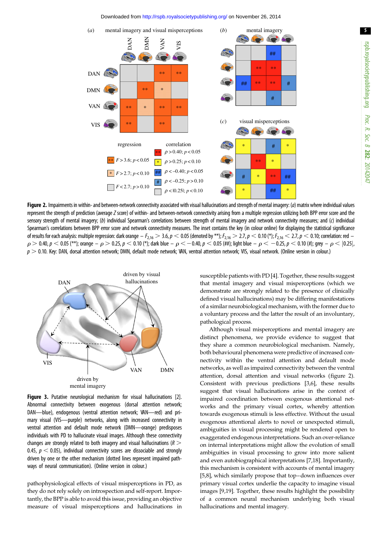Downloaded from<http://rspb.royalsocietypublishing.org/>on November 26, 2014

<span id="page-4-0"></span>

Figure 2. Impairments in within- and between-network connectivity associated with visual hallucinations and strength of mental imagery: (a) matrix where individual values represent the strength of prediction (average Z score) of within- and between-network connectivity arising from a multiple regression utilizing both BPP error score and the sensory strength of mental imagery; (b) individual Spearman's correlations between strength of mental imagery and network connectivity measures; and (c) individual Spearman's correlations between BPP error score and network connectivity measures. The inset contains the key (in colour online) for displaying the statistical significance of results for each analysis: multiple regression: dark orange  $-F_{2,16} > 3.6$ ,  $p < 0.05$  (denoted by \*\*);  $F_{2,16} > 2.7$ ,  $p < 0.10$  (\*);  $F_{2,16} < 2.7$ ,  $p < 0.10$ ; correlation: red –  $\rho > 0.40$ ,  $p < 0.05$  (\*\*); orange –  $\rho > 0.25$ ,  $p < 0.10$  (\*); dark blue –  $\rho < -0.40$ ,  $p < 0.05$  (##); light blue –  $\rho < -0.25$ ,  $p < 0.10$  (#); grey –  $\rho < |0.25|$ ,  $p > 0.10$ . Key: DAN, dorsal attention network; DMN, default mode network; VAN, ventral attention network; VIS, visual network. (Online version in colour.)



Figure 3. Putative neurological mechanism for visual hallucinations [\[2](#page-5-0)]. Abnormal connectivity between exogenous (dorsal attention network; DAN—blue), endogenous (ventral attention network; VAN—red) and primary visual (VIS—purple) networks, along with increased connectivity in ventral attention and default mode network (DMN—orange) predisposes individuals with PD to hallucinate visual images. Although these connectivity changes are strongly related to both imagery and visual hallucinations ( $R >$ 0.45,  $p < 0.05$ ), individual connectivity scores are dissociable and strongly driven by one or the other mechanism (dotted lines represent impaired pathways of neural communication). (Online version in colour.)

pathophysiological effects of visual misperceptions in PD, as they do not rely solely on introspection and self-report. Importantly, the BPP is able to avoid this issue, providing an objective measure of visual misperceptions and hallucinations in susceptible patients with PD [\[4](#page-5-0)]. Together, these results suggest that mental imagery and visual misperceptions (which we demonstrate are strongly related to the presence of clinically defined visual hallucinations) may be differing manifestations of a similar neurobiological mechanism, with the former due to a voluntary process and the latter the result of an involuntary, pathological process.

Although visual misperceptions and mental imagery are distinct phenomena, we provide evidence to suggest that they share a common neurobiological mechanism. Namely, both behavioural phenomena were predictive of increased connectivity within the ventral attention and default mode networks, as well as impaired connectivity between the ventral attention, dorsal attention and visual networks (figure 2). Consistent with previous predictions [[3](#page-5-0)[,6\]](#page-6-0), these results suggest that visual hallucinations arise in the context of impaired coordination between exogenous attentional networks and the primary visual cortex, whereby attention towards exogenous stimuli is less effective. Without the usual exogenous attentional alerts to novel or unexpected stimuli, ambiguities in visual processing might be rendered open to exaggerated endogenous interpretations. Such an over-reliance on internal interpretations might allow the evolution of small ambiguities in visual processing to grow into more salient and even autobiographical interpretations [[7,18](#page-6-0)]. Importantly, this mechanism is consistent with accounts of mental imagery [[5,8\]](#page-6-0), which similarly propose that top–down influences over primary visual cortex underlie the capacity to imagine visual images [\[9,19\]](#page-6-0). Together, these results highlight the possibility of a common neural mechanism underlying both visual hallucinations and mental imagery.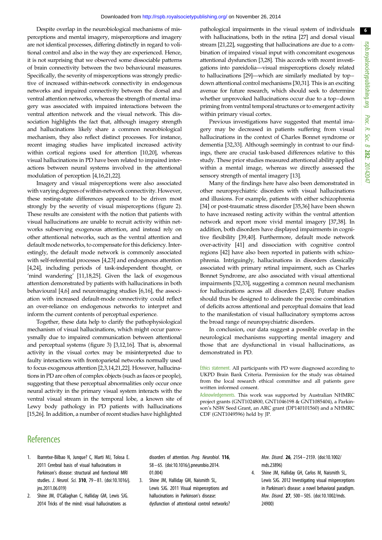<span id="page-5-0"></span>Despite overlap in the neurobiological mechanisms of misperceptions and mental imagery, misperceptions and imagery are not identical processes, differing distinctly in regard to volitional control and also in the way they are experienced. Hence, it is not surprising that we observed some dissociable patterns of brain connectivity between the two behavioural measures. Specifically, the severity of misperceptions was strongly predictive of increased within-network connectivity in endogenous networks and impaired connectivity between the dorsal and ventral attention networks, whereas the strength of mental imagery was associated with impaired interactions between the ventral attention network and the visual network. This dissociation highlights the fact that, although imagery strength and hallucinations likely share a common neurobiological mechanism, they also reflect distinct processes. For instance, recent imaging studies have implicated increased activity within cortical regions used for attention [[10,20](#page-6-0)], whereas visual hallucinations in PD have been related to impaired interactions between neural systems involved in the attentional modulation of perception [4[,16,21,22\]](#page-6-0).

Imagery and visual misperceptions were also associated with varying degrees of within-network connectivity. However, these resting-state differences appeared to be driven most strongly by the severity of visual misperceptions ([figure 2](#page-4-0)). These results are consistent with the notion that patients with visual hallucinations are unable to recruit activity within networks subserving exogenous attention, and instead rely on other attentional networks, such as the ventral attention and default mode networks, to compensate for this deficiency. Interestingly, the default mode network is commonly associated with self-referential processes [4[,23\]](#page-6-0) and endogenous attention [4,[24\]](#page-6-0), including periods of task-independent thought, or 'mind wandering' [[11,18,25\]](#page-6-0). Given the lack of exogenous attention demonstrated by patients with hallucinations in both behavioural [4,[6](#page-6-0)] and neuroimaging studies [\[6,16\]](#page-6-0), the association with increased default-mode connectivity could reflect an over-reliance on endogenous networks to interpret and inform the current contents of perceptual experience.

Together, these data help to clarify the pathophysiological mechanism of visual hallucinations, which might occur paroxysmally due to impaired communication between attentional and perceptual systems [\(figure 3\)](#page-4-0) [3[,12,16\]](#page-6-0). That is, abnormal activity in the visual cortex may be misinterpreted due to faulty interactions with frontoparietal networks normally used to focus exogenous attention [2,3,[14](#page-6-0),[21,22](#page-6-0)]. However, hallucinations in PD are often of complex objects (such as faces or people), suggesting that these perceptual abnormalities only occur once neural activity in the primary visual system interacts with the ventral visual stream in the temporal lobe, a known site of Lewy body pathology in PD patients with hallucinations [\[15,26\]](#page-6-0). In addition, a number of recent studies have highlighted pathological impairments in the visual system of individuals with hallucinations, both in the retina [[27](#page-6-0)] and dorsal visual stream [[21,22](#page-6-0)], suggesting that hallucinations are due to a combination of impaired visual input with concomitant exogenous attentional dysfunction [3[,28](#page-6-0)]. This accords with recent investigations into pareidolia—visual misperceptions closely related to hallucinations [\[29\]](#page-6-0)—which are similarly mediated by top– down attentional control mechanisms [\[30,31\]](#page-6-0). This is an exciting avenue for future research, which should seek to determine whether unprovoked hallucinations occur due to a top–down priming from ventral temporal structures or to emergent activity within primary visual cortex.

Previous investigations have suggested that mental imagery may be decreased in patients suffering from visual hallucinations in the context of Charles Bonnet syndrome or dementia [[32,33\]](#page-6-0). Although seemingly in contrast to our findings, there are crucial task-based differences relative to this study. These prior studies measured attentional ability applied within a mental image, whereas we directly assessed the sensory strength of mental imagery [\[13](#page-6-0)].

Many of the findings here have also been demonstrated in other neuropsychiatric disorders with visual hallucinations and illusions. For example, patients with either schizophrenia [[34](#page-6-0)] or post-traumatic stress disorder [[35,36\]](#page-6-0) have been shown to have increased resting activity within the ventral attention network and report more vivid mental imagery [\[37,38](#page-6-0)]. In addition, both disorders have displayed impairments in cognitive flexibility [\[39,40\]](#page-6-0). Furthermore, default mode network over-activity [\[41\]](#page-6-0) and dissociation with cognitive control regions [\[42](#page-6-0)] have also been reported in patients with schizophrenia. Intriguingly, hallucinations in disorders classically associated with primary retinal impairment, such as Charles Bonnet Syndrome, are also associated with visual attentional impairments [\[32,33](#page-6-0)], suggesting a common neural mechanism for hallucinations across all disorders [2[,43](#page-6-0)]. Future studies should thus be designed to delineate the precise combination of deficits across attentional and perceptual domains that lead to the manifestation of visual hallucinatory symptoms across the broad range of neuropsychiatric disorders.

In conclusion, our data suggest a possible overlap in the neurological mechanisms supporting mental imagery and those that are dysfunctional in visual hallucinations, as demonstrated in PD.

Ethics statement. All participants with PD were diagnosed according to UKPD Brain Bank Criteria. Permission for the study was obtained from the local research ethical committee and all patients gave written informed consent.

Acknowledgements. This work was supported by Australian NHMRC project grants (GNT1024800, GNT1046198 & GNT1085404), a Parkinson's NSW Seed Grant, an ARC grant (DP140101560) and a NHMRC CDF (GNT1049596) held by JP.

### **References**

- 1. Ibarretxe-Bilbao N, Junque? C, Marti MJ, Tolosa E. 2011 Cerebral basis of visual hallucinations in Parkinson's disease: structural and functional MRI studies. J. Neurol. Sci. 310, 79-81. [\(doi:10.1016/j.](http://dx.doi.org/10.1016/j.jns.2011.06.019) [jns.2011.06.019](http://dx.doi.org/10.1016/j.jns.2011.06.019))
- 2. Shine JM, O'Callaghan C, Halliday GM, Lewis SJG. 2014 Tricks of the mind: visual hallucinations as

disorders of attention. Prog. Neurobiol. 116, 58 – 65. ([doi:10.1016/j.pneurobio.2014.](http://dx.doi.org/10.1016/j.pneurobio.2014.01.004) [01.004](http://dx.doi.org/10.1016/j.pneurobio.2014.01.004))

3. Shine JM, Halliday GM, Naismith SL, Lewis SJG. 2011 Visual misperceptions and hallucinations in Parkinson's disease: dysfunction of attentional control networks? Mov. Disord. 26, 2154 – 2159. ([doi:10.1002/](http://dx.doi.org/10.1002/mds.23896) [mds.23896\)](http://dx.doi.org/10.1002/mds.23896)

4. Shine JM, Halliday GH, Carlos M, Naismith SL, Lewis SJG. 2012 Investigating visual misperceptions in Parkinson's disease: a novel behavioral paradigm. Mov. Disord. 27, 500– 505. ([doi:10.1002/mds.](http://dx.doi.org/10.1002/mds.24900) [24900\)](http://dx.doi.org/10.1002/mds.24900)